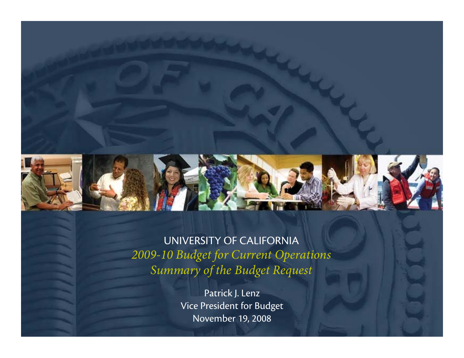

#### UNIVERSITY OF CALIFORNIA *2009-10 Budget for Current Operations Summary of the Budget Request*

Patrick J. Lenz Vice President for Budget November 19, 2008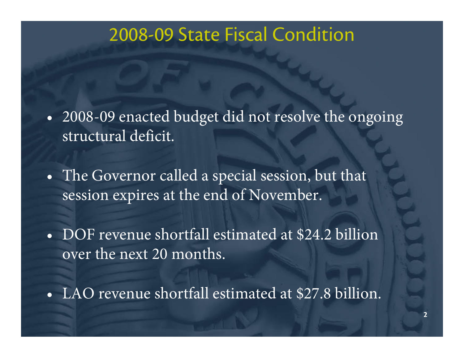#### 2008-09 State Fiscal Condition

- $\bullet$  2008-09 enacted budget did not resolve the ongoing structural deficit.
- $\bullet$  The Governor called a special session, but that session expires at the end of November.
- DOF revenue shortfall estimated at \$24.2 billion over the next 20 months.
- LAO revenue shortfall estimated at \$27.8 billion.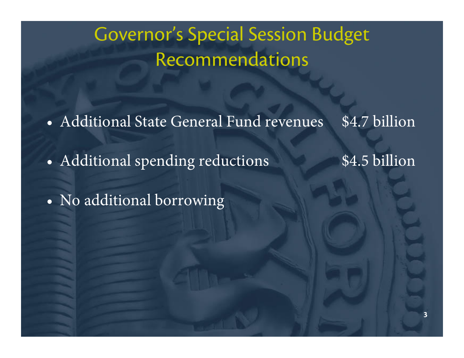## Governor's Special Session Budget Recommendations

• Additional State General Fund revenues \$4.7 billion

•Additional spending reductions \$4.5 billion

 $\bullet$ No additional borrowing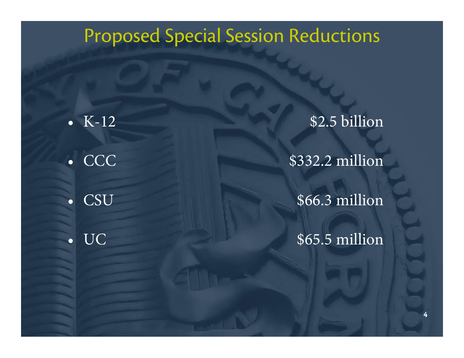#### Proposed Special Session Reductions

•  $K-12$ • CCC ••

\$2.5 billion

\$332.2 million

CSU \$66.3 million

UC \$65.5 million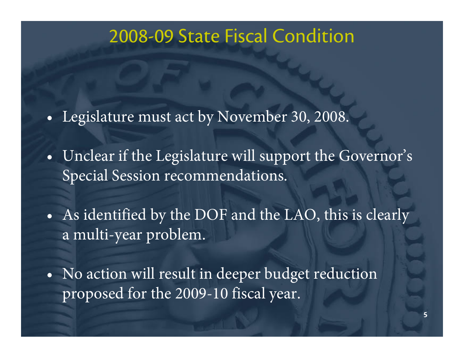#### 2008-09 State Fiscal Condition

- $\bullet$ Legislature must act by November 30, 2008.
- • Unclear if the Legislature will support the Governor's Special Session recommendations.

• As identified by the DOF and the LAO, this is clearly a multi-year problem.

• No action will result in deeper budget reduction proposed for the 2009-10 fiscal year.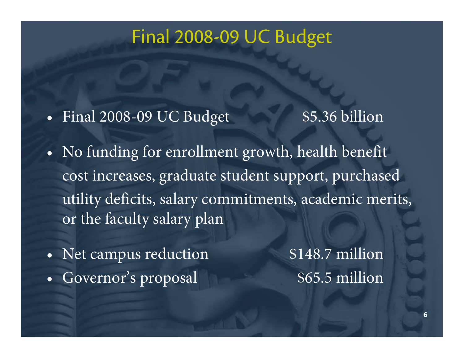#### Final 2008-09 UC Budget

 $\bullet$ Final 2008-09 UC Budget \$5.36 billion

- • No funding for enrollment growth, health benefit cost increases, graduate student support, purchased utility deficits, salary commitments, academic merits, or the faculty salary plan
- $\bullet$ Net campus reduction \$148.7 million •Governor's proposal 665.5 million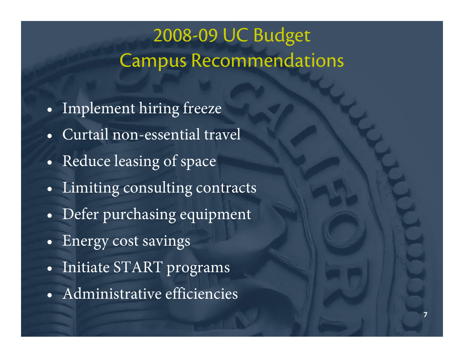### 2008-09 UC Budget Campus Recommendations

- $\bullet$ Implement hiring freeze
- Curtail non-essential travel
- $\bullet$ Reduce leasing of space
- $\bullet$ Limiting consulting contracts
- $\bullet$ Defer purchasing equipment
- $\bullet$ Energy cost savings
- $\bullet$ Initiate START programs
- Administrative efficiencies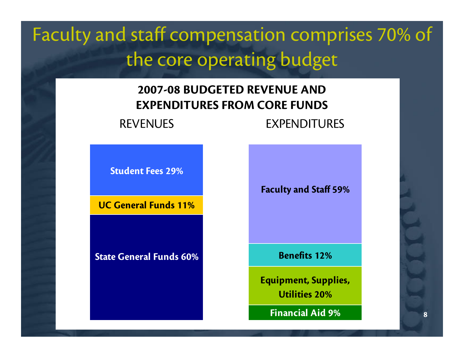## Faculty and staff compensation comprises 70% of the core operating budget

#### **2007-08 BUDGETED REVENUE AND EXPENDITURES FROM CORE FUNDS**

REVENUES EXPENDITURES

**Student Fees 29%**

**UC General Funds 11%**

**State General Funds 60%**

**Faculty and Staff 59%**

**Benefits 12%**

**Equipment, Supplies, Utilities 20%**

**Financial Aid 9%**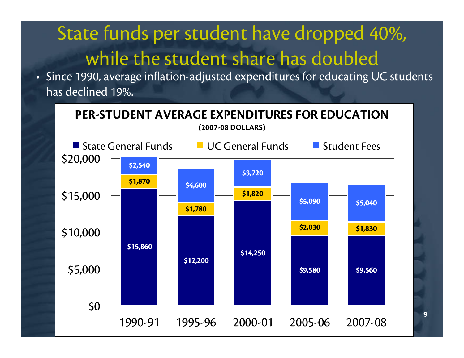# State funds per student have dropped 40%, while the student share has doubled

• Since 1990, average inflation-adjusted expenditures for educating UC students has declined 19%.



**9**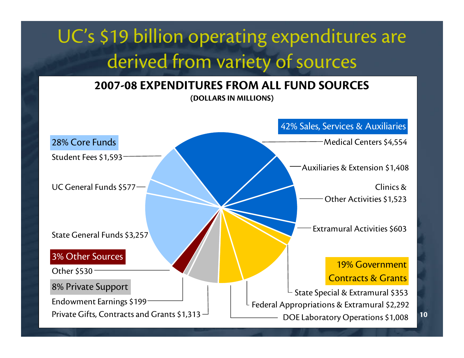## UC's \$19 billion operating expenditures are derived from variety of sources

#### **2007-08 EXPENDITURES FROM ALL FUND SOURCES(DOLLARS IN MILLIONS)**

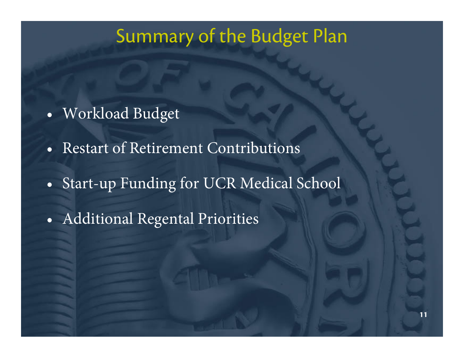#### Summary of the Budget Plan

- $\bullet$ Workload Budget
- Restart of Retirement Contributions
- $\bullet$ Start-up Funding for UCR Medical School
- $\bullet$ Additional Regental Priorities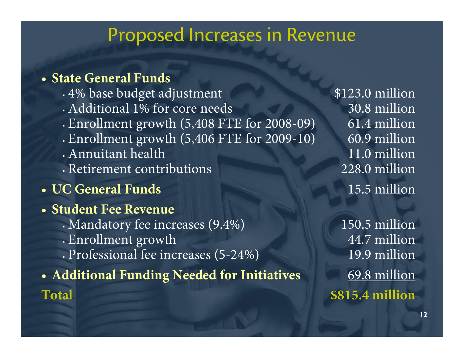#### Proposed Increases in Revenue

#### • **State General Funds**

- г 4% base budget adjustment \$123.0 million
- Additional 1% for core needs 30.8 million
- г Enrollment growth (5,408 FTE for 2008-09) 61.4 million
- г - Enrollment growth (5,406 FTE for 2009-10) 60.9 million
- Annuitant health 11.0 million
- Retirement contributions 228.0 million
- **UC General Funds** 15.5 million
- **Student Fee Revenue**
	- Mandatory fee increases (9.4%) 150.5 million
	- г Enrollment growth 44.7 million
	- Professional fee increases (5-24%) 19.9 million
- Additional Funding Needed for Initiatives **69.8 million Total \$815.4 million**

11.0 million 228.0 million 15.5 million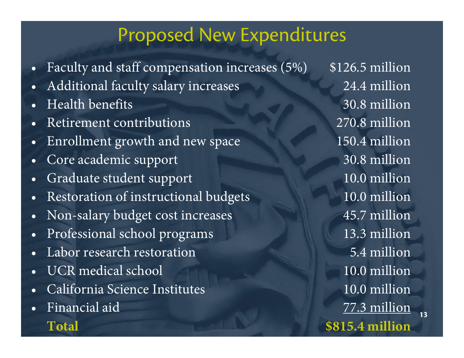#### Proposed New Expenditures

- •Faculty and staff compensation increases (5%) \$126.5 million
- •Additional faculty salary increases 24.4 million
- •Health benefits
- •Retirement contributions
- •Enrollment growth and new space 150.4 million
- •Core academic support 30.8 million
- •Graduate student support 10.0 million
- •Restoration of instructional budgets 10.0 million
- •Non-salary budget cost increases 45.7 million
- •Professional school programs 13.3 million
- •Labor research restoration 5.4 million
- •UCR medical school 10.0 million
- •California Science Institutes
- •Financial aid

30.8 million 270.8 million 10.0 million 77.3 million **Total \$815.4 million**

**13**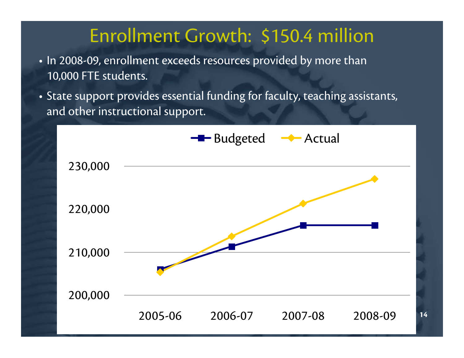#### Enrollment Growth: \$150.4 million

- In 2008-09, enrollment exceeds resources provided by more than 10,000 FTE students.
- State support provides essential funding for faculty, teaching assistants, and other instructional support.

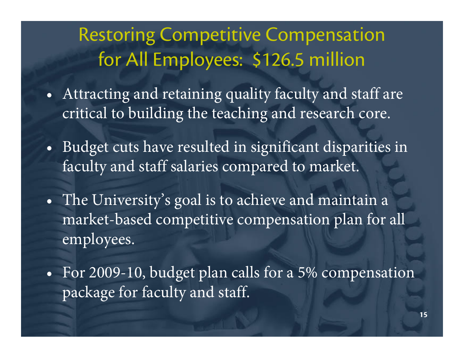### Restoring Competitive Compensation for All Employees: \$126.5 million

- $\bullet$  Attracting and retaining quality faculty and staff are critical to building the teaching and research core.
- • Budget cuts have resulted in significant disparities in faculty and staff salaries compared to market.
- $\bullet$  The University's goal is to achieve and maintain a market-based competitive compensation plan for all employees.
- • For 2009-10, budget plan calls for a 5% compensation package for faculty and staff.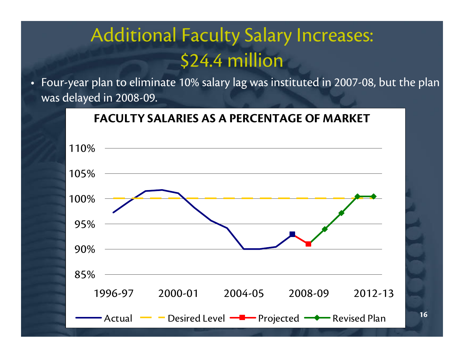### Additional Faculty Salary Increases: \$24.4 million

• Four-year plan to eliminate 10% salary lag was instituted in 2007-08, but the plan was delayed in 2008-09.



**16**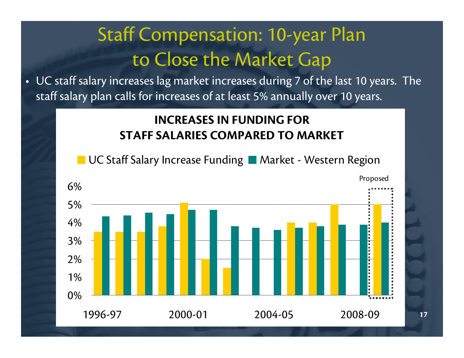## Staff Compensation: 10-year Plan to Close the Market Gap

• UC staff salary increases lag market increases during 7 of the last 10 years. The staff salary plan calls for increases of at least 5% annually over 10 years.

#### **INCREASES IN FUNDING FOR STAFF SALARIES COMPARED TO MARKET**

■ UC Staff Salary Increase Funding ■ Market - Western Region

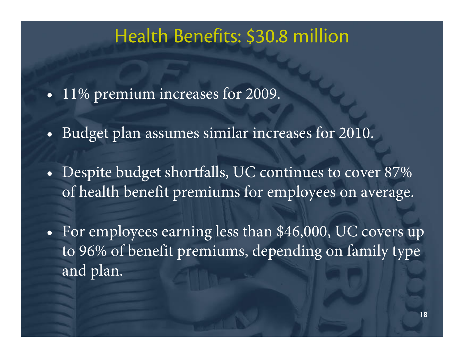#### Health Benefits: \$30.8 million

- $\bullet$ 11% premium increases for 2009.
- •Budget plan assumes similar increases for 2010.
- • Despite budget shortfalls, UC continues to cover 87% of health benefit premiums for employees on average.
- $\bullet$  For employees earning less than \$46,000, UC covers up to 96% of benefit premiums, depending on family type and plan.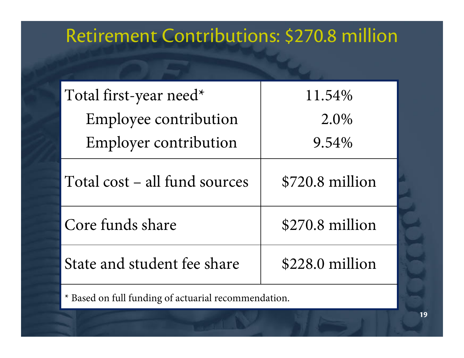#### Retirement Contributions: \$270.8 million

| Total first-year need*        | 11.54%           |
|-------------------------------|------------------|
| Employee contribution         | 2.0%             |
| <b>Employer contribution</b>  | 9.54%            |
| Total cost – all fund sources | $$720.8$ million |
| Core funds share              | $$270.8$ million |
| State and student fee share   | $$228.0$ million |
|                               |                  |

\* Based on full funding of actuarial recommendation.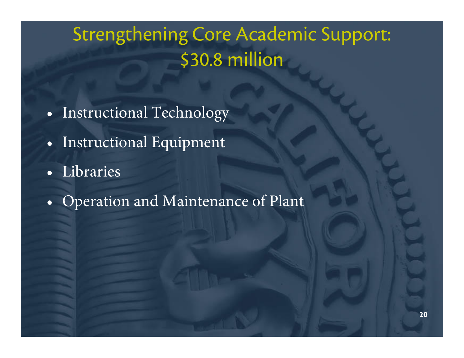# Strengthening Core Academic Support: \$30.8 million

- $\bullet$ Instructional Technology
- $\bullet$ Instructional Equipment
- Libraries
- •Operation and Maintenance of Plant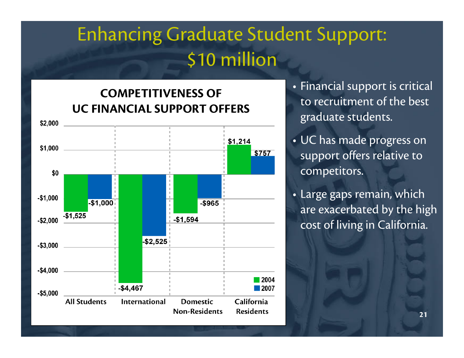## Enhancing Graduate Student Support: \$10 million

#### **COMPETITIVENESS OF UC FINANCIAL SUPPORT OFFERS**



- Financial support is critical to recruitment of the best graduate students.
- UC has made progress on support offers relative to competitors.
- Large gaps remain, which are exacerbated by the high cost of living in California.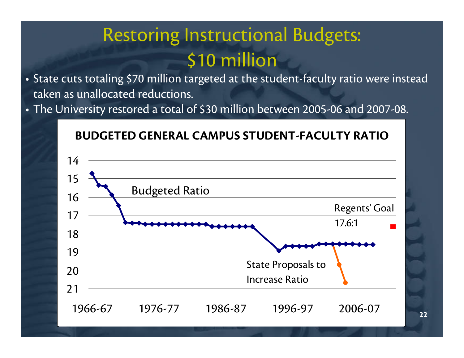## Restoring Instructional Budgets: \$10 million

- State cuts totaling \$70 million targeted at the student-faculty ratio were instead taken as unallocated reductions.
- The University restored a total of \$30 million between 2005-06 and 2007-08.



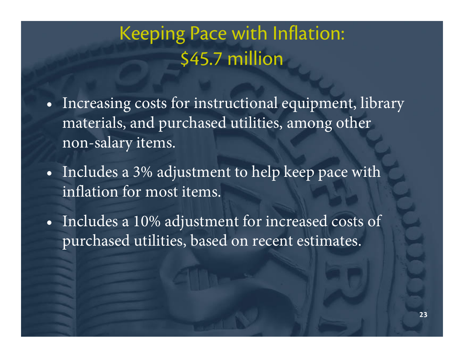## Keeping Pace with Inflation: \$45.7 million

- $\bullet$  Increasing costs for instructional equipment, library materials, and purchased utilities, among other non-salary items.
- $\bullet$  Includes a 3% adjustment to help keep pace with inflation for most items.
- • Includes a 10% adjustment for increased costs of purchased utilities, based on recent estimates.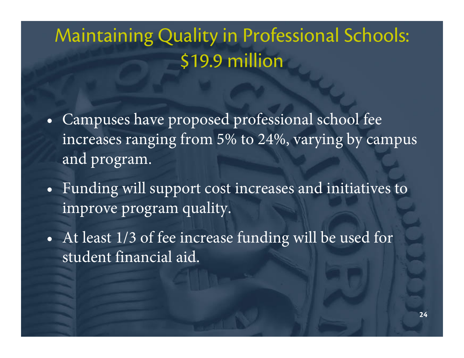## Maintaining Quality in Professional Schools: \$19.9 million

- $\bullet$  Campuses have proposed professional school fee increases ranging from 5% to 24%, varying by campus and program.
- $\bullet$  Funding will support cost increases and initiatives to improve program quality.
- $\bullet$  At least 1/3 of fee increase funding will be used for student financial aid.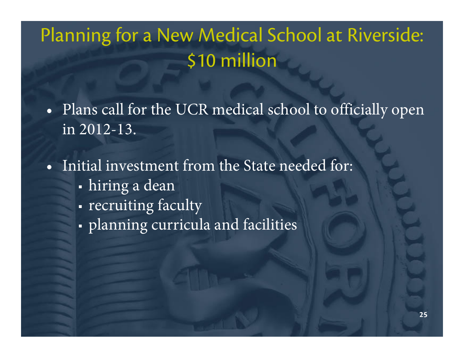## Planning for a New Medical School at Riverside: \$10 million

• Plans call for the UCR medical school to officially open in 2012-13.

• Initial investment from the State needed for:

- Ш hiring a dean
- П • recruiting faculty
- planning curricula and facilities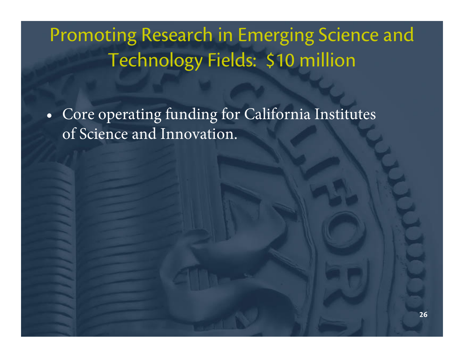## Promoting Research in Emerging Science and Technology Fields: \$10 million

 $\bullet$  Core operating funding for California Institutes of Science and Innovation.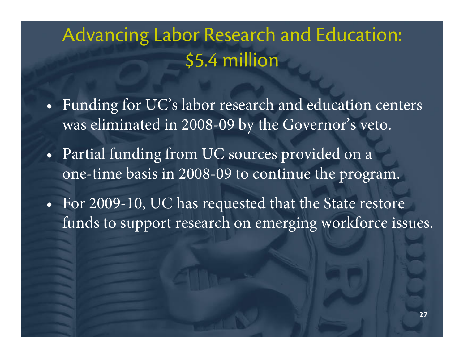## Advancing Labor Research and Education: \$5.4 million

- $\bullet$  Funding for UC's labor research and education centers was eliminated in 2008-09 by the Governor's veto.
- • Partial funding from UC sources provided on a one-time basis in 2008-09 to continue the program.
- $\bullet$  For 2009-10, UC has requested that the State restore funds to support research on emerging workforce issues.